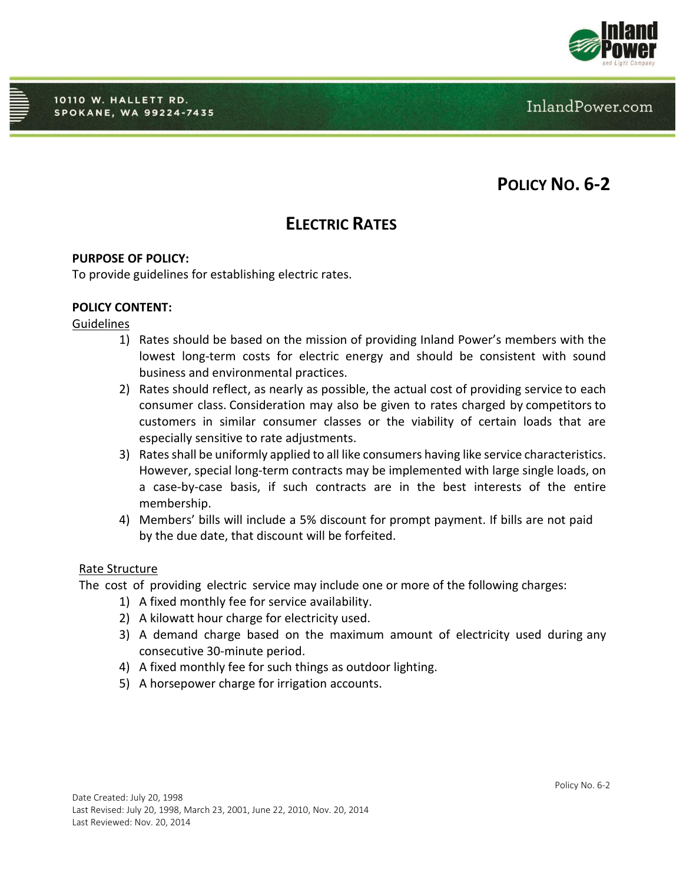

InlandPower.com

# **POLICY NO. 6-2**

# **ELECTRIC RATES**

# **PURPOSE OF POLICY:**

To provide guidelines for establishing electric rates.

# **POLICY CONTENT:**

### **Guidelines**

- 1) Rates should be based on the mission of providing Inland Power's members with the lowest long-term costs for electric energy and should be consistent with sound business and environmental practices.
- 2) Rates should reflect, as nearly as possible, the actual cost of providing service to each consumer class. Consideration may also be given to rates charged by competitors to customers in similar consumer classes or the viability of certain loads that are especially sensitive to rate adjustments.
- 3) Ratesshall be uniformly applied to all like consumers having like service characteristics. However, special long-term contracts may be implemented with large single loads, on a case-by-case basis, if such contracts are in the best interests of the entire membership.
- 4) Members' bills will include a 5% discount for prompt payment. If bills are not paid by the due date, that discount will be forfeited.

### Rate Structure

The cost of providing electric service may include one or more of the following charges:

- 1) A fixed monthly fee for service availability.
- 2) A kilowatt hour charge for electricity used.
- 3) A demand charge based on the maximum amount of electricity used during any consecutive 30-minute period.
- 4) A fixed monthly fee for such things as outdoor lighting.
- 5) A horsepower charge for irrigation accounts.